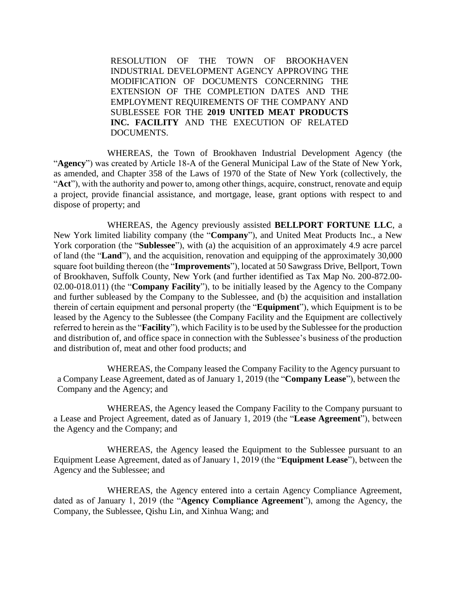RESOLUTION OF THE TOWN OF BROOKHAVEN INDUSTRIAL DEVELOPMENT AGENCY APPROVING THE MODIFICATION OF DOCUMENTS CONCERNING THE EXTENSION OF THE COMPLETION DATES AND THE EMPLOYMENT REQUIREMENTS OF THE COMPANY AND SUBLESSEE FOR THE **2019 UNITED MEAT PRODUCTS INC. FACILITY** AND THE EXECUTION OF RELATED DOCUMENTS.

WHEREAS, the Town of Brookhaven Industrial Development Agency (the "**Agency**") was created by Article 18-A of the General Municipal Law of the State of New York, as amended, and Chapter 358 of the Laws of 1970 of the State of New York (collectively, the "**Act**"), with the authority and power to, among other things, acquire, construct, renovate and equip a project, provide financial assistance, and mortgage, lease, grant options with respect to and dispose of property; and

WHEREAS, the Agency previously assisted **BELLPORT FORTUNE LLC**, a New York limited liability company (the "**Company**"), and United Meat Products Inc., a New York corporation (the "**Sublessee**"), with (a) the acquisition of an approximately 4.9 acre parcel of land (the "**Land**"), and the acquisition, renovation and equipping of the approximately 30,000 square foot building thereon (the "**Improvements**"), located at 50 Sawgrass Drive, Bellport, Town of Brookhaven, Suffolk County, New York (and further identified as Tax Map No. 200-872.00- 02.00-018.011) (the "**Company Facility**"), to be initially leased by the Agency to the Company and further subleased by the Company to the Sublessee, and (b) the acquisition and installation therein of certain equipment and personal property (the "**Equipment**"), which Equipment is to be leased by the Agency to the Sublessee (the Company Facility and the Equipment are collectively referred to herein as the "**Facility**"), which Facility is to be used by the Sublessee for the production and distribution of, and office space in connection with the Sublessee's business of the production and distribution of, meat and other food products; and

WHEREAS, the Company leased the Company Facility to the Agency pursuant to a Company Lease Agreement, dated as of January 1, 2019 (the "**Company Lease**"), between the Company and the Agency; and

WHEREAS, the Agency leased the Company Facility to the Company pursuant to a Lease and Project Agreement, dated as of January 1, 2019 (the "**Lease Agreement**"), between the Agency and the Company; and

WHEREAS, the Agency leased the Equipment to the Sublessee pursuant to an Equipment Lease Agreement, dated as of January 1, 2019 (the "**Equipment Lease**"), between the Agency and the Sublessee; and

WHEREAS, the Agency entered into a certain Agency Compliance Agreement, dated as of January 1, 2019 (the "**Agency Compliance Agreement**"), among the Agency, the Company, the Sublessee, Qishu Lin, and Xinhua Wang; and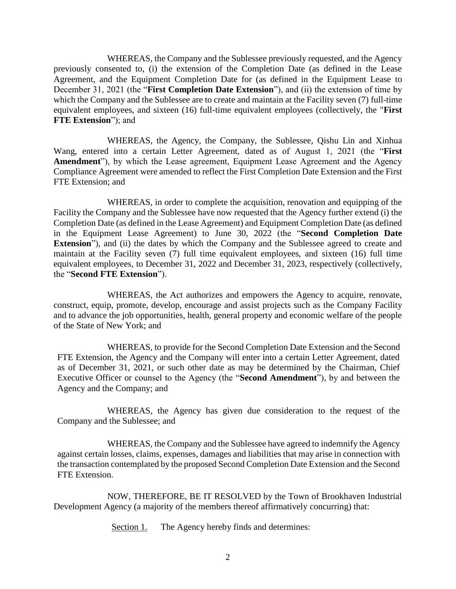WHEREAS, the Company and the Sublessee previously requested, and the Agency previously consented to, (i) the extension of the Completion Date (as defined in the Lease Agreement, and the Equipment Completion Date for (as defined in the Equipment Lease to December 31, 2021 (the "**First Completion Date Extension**"), and (ii) the extension of time by which the Company and the Sublessee are to create and maintain at the Facility seven (7) full-time equivalent employees, and sixteen (16) full-time equivalent employees (collectively, the "**First FTE Extension**"); and

WHEREAS, the Agency, the Company, the Sublessee, Qishu Lin and Xinhua Wang, entered into a certain Letter Agreement, dated as of August 1, 2021 (the "**First Amendment**"), by which the Lease agreement, Equipment Lease Agreement and the Agency Compliance Agreement were amended to reflect the First Completion Date Extension and the First FTE Extension; and

WHEREAS, in order to complete the acquisition, renovation and equipping of the Facility the Company and the Sublessee have now requested that the Agency further extend (i) the Completion Date (as defined in the Lease Agreement) and Equipment Completion Date (as defined in the Equipment Lease Agreement) to June 30, 2022 (the "**Second Completion Date Extension**"), and (ii) the dates by which the Company and the Sublessee agreed to create and maintain at the Facility seven (7) full time equivalent employees, and sixteen (16) full time equivalent employees, to December 31, 2022 and December 31, 2023, respectively (collectively, the "**Second FTE Extension**").

WHEREAS, the Act authorizes and empowers the Agency to acquire, renovate, construct, equip, promote, develop, encourage and assist projects such as the Company Facility and to advance the job opportunities, health, general property and economic welfare of the people of the State of New York; and

WHEREAS, to provide for the Second Completion Date Extension and the Second FTE Extension, the Agency and the Company will enter into a certain Letter Agreement, dated as of December 31, 2021, or such other date as may be determined by the Chairman, Chief Executive Officer or counsel to the Agency (the "**Second Amendment**"), by and between the Agency and the Company; and

WHEREAS, the Agency has given due consideration to the request of the Company and the Sublessee; and

WHEREAS, the Company and the Sublessee have agreed to indemnify the Agency against certain losses, claims, expenses, damages and liabilities that may arise in connection with the transaction contemplated by the proposed Second Completion Date Extension and the Second FTE Extension.

NOW, THEREFORE, BE IT RESOLVED by the Town of Brookhaven Industrial Development Agency (a majority of the members thereof affirmatively concurring) that:

Section 1. The Agency hereby finds and determines: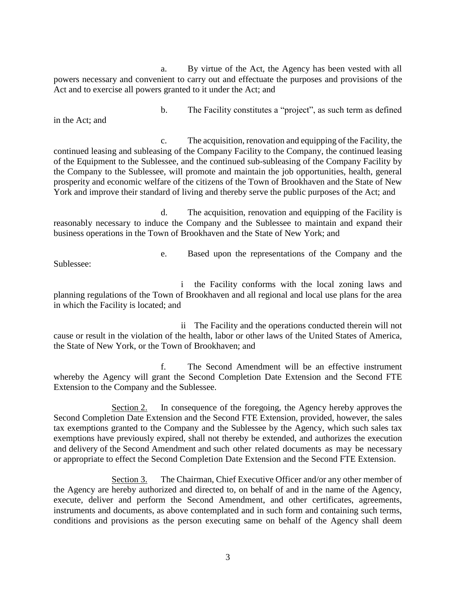a. By virtue of the Act, the Agency has been vested with all powers necessary and convenient to carry out and effectuate the purposes and provisions of the Act and to exercise all powers granted to it under the Act; and

in the Act; and

b. The Facility constitutes a "project", as such term as defined

c. The acquisition, renovation and equipping of the Facility, the continued leasing and subleasing of the Company Facility to the Company, the continued leasing of the Equipment to the Sublessee, and the continued sub-subleasing of the Company Facility by the Company to the Sublessee, will promote and maintain the job opportunities, health, general prosperity and economic welfare of the citizens of the Town of Brookhaven and the State of New York and improve their standard of living and thereby serve the public purposes of the Act; and

d. The acquisition, renovation and equipping of the Facility is reasonably necessary to induce the Company and the Sublessee to maintain and expand their business operations in the Town of Brookhaven and the State of New York; and

Sublessee:

e. Based upon the representations of the Company and the

i the Facility conforms with the local zoning laws and planning regulations of the Town of Brookhaven and all regional and local use plans for the area in which the Facility is located; and

ii The Facility and the operations conducted therein will not cause or result in the violation of the health, labor or other laws of the United States of America, the State of New York, or the Town of Brookhaven; and

f. The Second Amendment will be an effective instrument whereby the Agency will grant the Second Completion Date Extension and the Second FTE Extension to the Company and the Sublessee.

Section 2. In consequence of the foregoing, the Agency hereby approves the Second Completion Date Extension and the Second FTE Extension, provided, however, the sales tax exemptions granted to the Company and the Sublessee by the Agency, which such sales tax exemptions have previously expired, shall not thereby be extended, and authorizes the execution and delivery of the Second Amendment and such other related documents as may be necessary or appropriate to effect the Second Completion Date Extension and the Second FTE Extension.

Section 3. The Chairman, Chief Executive Officer and/or any other member of the Agency are hereby authorized and directed to, on behalf of and in the name of the Agency, execute, deliver and perform the Second Amendment, and other certificates, agreements, instruments and documents, as above contemplated and in such form and containing such terms, conditions and provisions as the person executing same on behalf of the Agency shall deem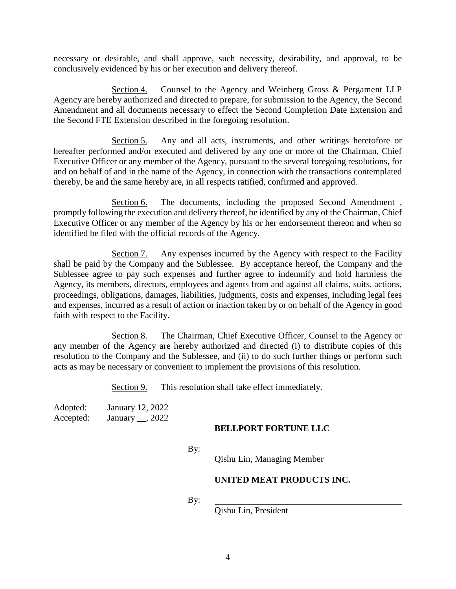necessary or desirable, and shall approve, such necessity, desirability, and approval, to be conclusively evidenced by his or her execution and delivery thereof.

Section 4. Counsel to the Agency and Weinberg Gross & Pergament LLP Agency are hereby authorized and directed to prepare, for submission to the Agency, the Second Amendment and all documents necessary to effect the Second Completion Date Extension and the Second FTE Extension described in the foregoing resolution.

Section 5. Any and all acts, instruments, and other writings heretofore or hereafter performed and/or executed and delivered by any one or more of the Chairman, Chief Executive Officer or any member of the Agency, pursuant to the several foregoing resolutions, for and on behalf of and in the name of the Agency, in connection with the transactions contemplated thereby, be and the same hereby are, in all respects ratified, confirmed and approved.

Section 6. The documents, including the proposed Second Amendment, promptly following the execution and delivery thereof, be identified by any of the Chairman, Chief Executive Officer or any member of the Agency by his or her endorsement thereon and when so identified be filed with the official records of the Agency.

Section 7. Any expenses incurred by the Agency with respect to the Facility shall be paid by the Company and the Sublessee. By acceptance hereof, the Company and the Sublessee agree to pay such expenses and further agree to indemnify and hold harmless the Agency, its members, directors, employees and agents from and against all claims, suits, actions, proceedings, obligations, damages, liabilities, judgments, costs and expenses, including legal fees and expenses, incurred as a result of action or inaction taken by or on behalf of the Agency in good faith with respect to the Facility.

Section 8. The Chairman, Chief Executive Officer, Counsel to the Agency or any member of the Agency are hereby authorized and directed (i) to distribute copies of this resolution to the Company and the Sublessee, and (ii) to do such further things or perform such acts as may be necessary or convenient to implement the provisions of this resolution.

Section 9. This resolution shall take effect immediately.

Adopted: January 12, 2022 Accepted: January , 2022

### **BELLPORT FORTUNE LLC**

By:

Qishu Lin, Managing Member

### **UNITED MEAT PRODUCTS INC.**

By:

Qishu Lin, President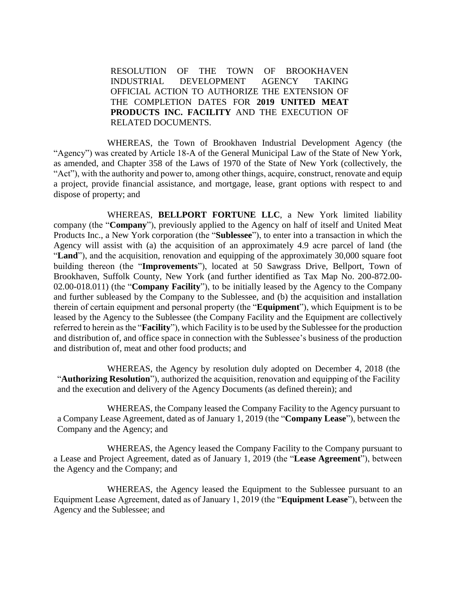RESOLUTION OF THE TOWN OF BROOKHAVEN INDUSTRIAL DEVELOPMENT AGENCY TAKING OFFICIAL ACTION TO AUTHORIZE THE EXTENSION OF THE COMPLETION DATES FOR **2019 UNITED MEAT PRODUCTS INC. FACILITY** AND THE EXECUTION OF RELATED DOCUMENTS.

WHEREAS, the Town of Brookhaven Industrial Development Agency (the "Agency") was created by Article 18-A of the General Municipal Law of the State of New York, as amended, and Chapter 358 of the Laws of 1970 of the State of New York (collectively, the "Act"), with the authority and power to, among other things, acquire, construct, renovate and equip a project, provide financial assistance, and mortgage, lease, grant options with respect to and dispose of property; and

WHEREAS, **BELLPORT FORTUNE LLC**, a New York limited liability company (the "**Company**"), previously applied to the Agency on half of itself and United Meat Products Inc., a New York corporation (the "**Sublessee**"), to enter into a transaction in which the Agency will assist with (a) the acquisition of an approximately 4.9 acre parcel of land (the "**Land**"), and the acquisition, renovation and equipping of the approximately 30,000 square foot building thereon (the "**Improvements**"), located at 50 Sawgrass Drive, Bellport, Town of Brookhaven, Suffolk County, New York (and further identified as Tax Map No. 200-872.00- 02.00-018.011) (the "**Company Facility**"), to be initially leased by the Agency to the Company and further subleased by the Company to the Sublessee, and (b) the acquisition and installation therein of certain equipment and personal property (the "**Equipment**"), which Equipment is to be leased by the Agency to the Sublessee (the Company Facility and the Equipment are collectively referred to herein as the "**Facility**"), which Facility is to be used by the Sublessee for the production and distribution of, and office space in connection with the Sublessee's business of the production and distribution of, meat and other food products; and

WHEREAS, the Agency by resolution duly adopted on December 4, 2018 (the "**Authorizing Resolution**"), authorized the acquisition, renovation and equipping of the Facility and the execution and delivery of the Agency Documents (as defined therein); and

WHEREAS, the Company leased the Company Facility to the Agency pursuant to a Company Lease Agreement, dated as of January 1, 2019 (the "**Company Lease**"), between the Company and the Agency; and

WHEREAS, the Agency leased the Company Facility to the Company pursuant to a Lease and Project Agreement, dated as of January 1, 2019 (the "**Lease Agreement**"), between the Agency and the Company; and

WHEREAS, the Agency leased the Equipment to the Sublessee pursuant to an Equipment Lease Agreement, dated as of January 1, 2019 (the "**Equipment Lease**"), between the Agency and the Sublessee; and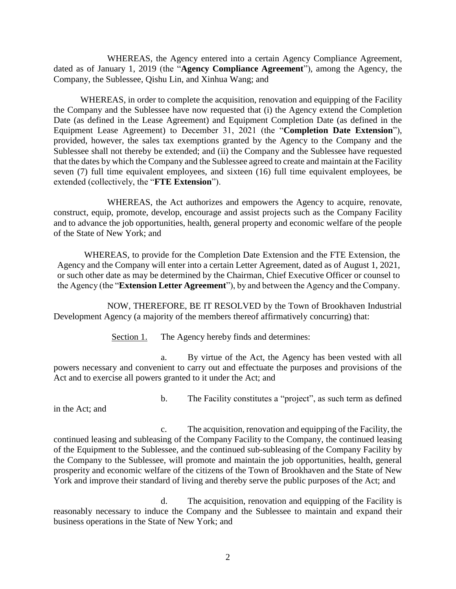WHEREAS, the Agency entered into a certain Agency Compliance Agreement, dated as of January 1, 2019 (the "**Agency Compliance Agreement**"), among the Agency, the Company, the Sublessee, Qishu Lin, and Xinhua Wang; and

WHEREAS, in order to complete the acquisition, renovation and equipping of the Facility the Company and the Sublessee have now requested that (i) the Agency extend the Completion Date (as defined in the Lease Agreement) and Equipment Completion Date (as defined in the Equipment Lease Agreement) to December 31, 2021 (the "**Completion Date Extension**"), provided, however, the sales tax exemptions granted by the Agency to the Company and the Sublessee shall not thereby be extended; and (ii) the Company and the Sublessee have requested that the dates by which the Company and the Sublessee agreed to create and maintain at the Facility seven (7) full time equivalent employees, and sixteen (16) full time equivalent employees, be extended (collectively, the "**FTE Extension**").

WHEREAS, the Act authorizes and empowers the Agency to acquire, renovate, construct, equip, promote, develop, encourage and assist projects such as the Company Facility and to advance the job opportunities, health, general property and economic welfare of the people of the State of New York; and

WHEREAS, to provide for the Completion Date Extension and the FTE Extension, the Agency and the Company will enter into a certain Letter Agreement, dated as of August 1, 2021, or such other date as may be determined by the Chairman, Chief Executive Officer or counsel to the Agency (the "**Extension Letter Agreement**"), by and between the Agency and the Company.

NOW, THEREFORE, BE IT RESOLVED by the Town of Brookhaven Industrial Development Agency (a majority of the members thereof affirmatively concurring) that:

Section 1. The Agency hereby finds and determines:

a. By virtue of the Act, the Agency has been vested with all powers necessary and convenient to carry out and effectuate the purposes and provisions of the Act and to exercise all powers granted to it under the Act; and

in the Act; and

b. The Facility constitutes a "project", as such term as defined

c. The acquisition, renovation and equipping of the Facility, the continued leasing and subleasing of the Company Facility to the Company, the continued leasing of the Equipment to the Sublessee, and the continued sub-subleasing of the Company Facility by the Company to the Sublessee, will promote and maintain the job opportunities, health, general prosperity and economic welfare of the citizens of the Town of Brookhaven and the State of New York and improve their standard of living and thereby serve the public purposes of the Act; and

d. The acquisition, renovation and equipping of the Facility is reasonably necessary to induce the Company and the Sublessee to maintain and expand their business operations in the State of New York; and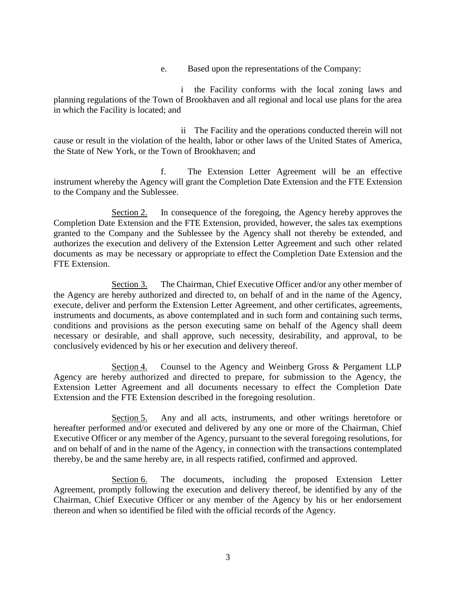e. Based upon the representations of the Company:

the Facility conforms with the local zoning laws and planning regulations of the Town of Brookhaven and all regional and local use plans for the area in which the Facility is located; and

ii The Facility and the operations conducted therein will not cause or result in the violation of the health, labor or other laws of the United States of America, the State of New York, or the Town of Brookhaven; and

f. The Extension Letter Agreement will be an effective instrument whereby the Agency will grant the Completion Date Extension and the FTE Extension to the Company and the Sublessee.

Section 2. In consequence of the foregoing, the Agency hereby approves the Completion Date Extension and the FTE Extension, provided, however, the sales tax exemptions granted to the Company and the Sublessee by the Agency shall not thereby be extended, and authorizes the execution and delivery of the Extension Letter Agreement and such other related documents as may be necessary or appropriate to effect the Completion Date Extension and the FTE Extension.

Section 3. The Chairman, Chief Executive Officer and/or any other member of the Agency are hereby authorized and directed to, on behalf of and in the name of the Agency, execute, deliver and perform the Extension Letter Agreement, and other certificates, agreements, instruments and documents, as above contemplated and in such form and containing such terms, conditions and provisions as the person executing same on behalf of the Agency shall deem necessary or desirable, and shall approve, such necessity, desirability, and approval, to be conclusively evidenced by his or her execution and delivery thereof.

Section 4. Counsel to the Agency and Weinberg Gross & Pergament LLP Agency are hereby authorized and directed to prepare, for submission to the Agency, the Extension Letter Agreement and all documents necessary to effect the Completion Date Extension and the FTE Extension described in the foregoing resolution.

Section 5. Any and all acts, instruments, and other writings heretofore or hereafter performed and/or executed and delivered by any one or more of the Chairman, Chief Executive Officer or any member of the Agency, pursuant to the several foregoing resolutions, for and on behalf of and in the name of the Agency, in connection with the transactions contemplated thereby, be and the same hereby are, in all respects ratified, confirmed and approved.

Section 6. The documents, including the proposed Extension Letter Agreement, promptly following the execution and delivery thereof, be identified by any of the Chairman, Chief Executive Officer or any member of the Agency by his or her endorsement thereon and when so identified be filed with the official records of the Agency.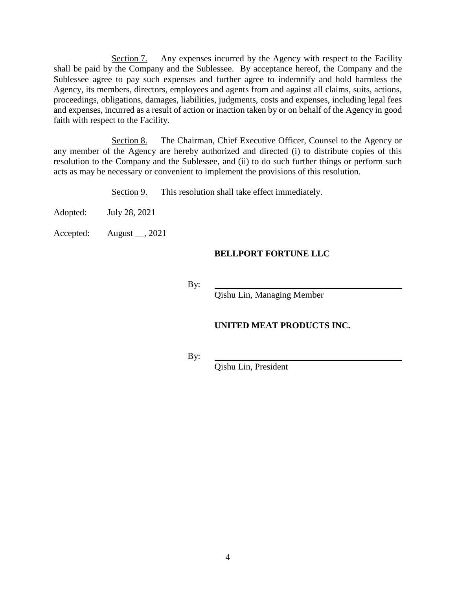Section 7. Any expenses incurred by the Agency with respect to the Facility shall be paid by the Company and the Sublessee. By acceptance hereof, the Company and the Sublessee agree to pay such expenses and further agree to indemnify and hold harmless the Agency, its members, directors, employees and agents from and against all claims, suits, actions, proceedings, obligations, damages, liabilities, judgments, costs and expenses, including legal fees and expenses, incurred as a result of action or inaction taken by or on behalf of the Agency in good faith with respect to the Facility.

Section 8. The Chairman, Chief Executive Officer, Counsel to the Agency or any member of the Agency are hereby authorized and directed (i) to distribute copies of this resolution to the Company and the Sublessee, and (ii) to do such further things or perform such acts as may be necessary or convenient to implement the provisions of this resolution.

Section 9. This resolution shall take effect immediately.

Adopted: July 28, 2021

Accepted: August \_\_, 2021

### **BELLPORT FORTUNE LLC**

By:

Qishu Lin, Managing Member

# **UNITED MEAT PRODUCTS INC.**

By:

Qishu Lin, President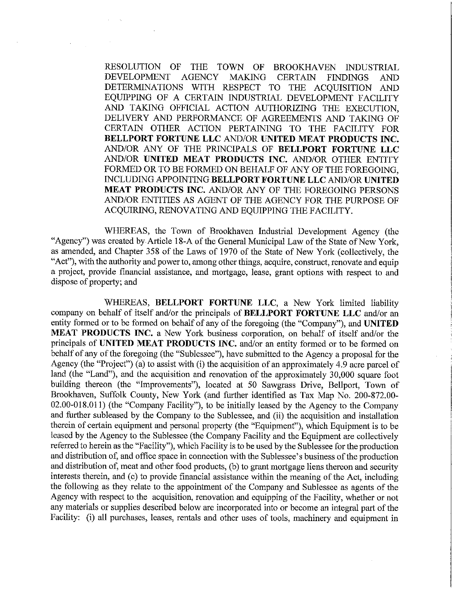RESOLUTION OF **THE** TOWN OF **BROOKHAVEN INDUSTRIAL AGENCY** DEVELOPMENT **MAKING CERTAIN FINDINGS AND DETERMINATIONS** WITH RESPECT TO THE ACQUISITION AND EQUIPPING OF A CERTAIN INDUSTRIAL DEVELOPMENT FACILITY AND TAKING OFFICIAL ACTION AUTHORIZING THE EXECUTION, DELIVERY AND PERFORMANCE OF AGREEMENTS AND TAKING OF CERTAIN OTHER ACTION PERTAINING TO THE FACILITY FOR BELLPORT FORTUNE LLC AND/OR UNITED MEAT PRODUCTS INC. AND/OR ANY OF THE PRINCIPALS OF BELLPORT FORTUNE LLC AND/OR UNITED MEAT PRODUCTS INC. AND/OR OTHER ENTITY FORMED OR TO BE FORMED ON BEHALF OF ANY OF THE FOREGOING. INCLUDING APPOINTING BELLPORT FORTUNE LLC AND/OR UNITED MEAT PRODUCTS INC. AND/OR ANY OF THE FOREGOING PERSONS AND/OR ENTITIES AS AGENT OF THE AGENCY FOR THE PURPOSE OF ACQUIRING, RENOVATING AND EQUIPPING THE FACILITY.

WHEREAS, the Town of Brookhaven Industrial Development Agency (the "Agency") was created by Article 18-A of the General Municipal Law of the State of New York, as amended, and Chapter 358 of the Laws of 1970 of the State of New York (collectively, the "Act"), with the authority and power to, among other things, acquire, construct, renovate and equip a project, provide financial assistance, and mortgage, lease, grant options with respect to and dispose of property; and

WHEREAS, BELLPORT FORTUNE LLC, a New York limited liability company on behalf of itself and/or the principals of BELLPORT FORTUNE LLC and/or an entity formed or to be formed on behalf of any of the foregoing (the "Company"), and UNITED MEAT PRODUCTS INC. a New York business corporation, on behalf of itself and/or the principals of UNITED MEAT PRODUCTS INC. and/or an entity formed or to be formed on behalf of any of the foregoing (the "Sublessee"), have submitted to the Agency a proposal for the Agency (the "Project") (a) to assist with (i) the acquisition of an approximately 4.9 acre parcel of land (the "Land"), and the acquisition and renovation of the approximately 30,000 square foot building thereon (the "Improvements"), located at 50 Sawgrass Drive, Bellport, Town of Brookhaven, Suffolk County, New York (and further identified as Tax Map No. 200-872.00-02.00-018.011) (the "Company Facility"), to be initially leased by the Agency to the Company and further subleased by the Company to the Sublessee, and (ii) the acquisition and installation therein of certain equipment and personal property (the "Equipment"), which Equipment is to be leased by the Agency to the Sublessee (the Company Facility and the Equipment are collectively referred to herein as the "Facility"), which Facility is to be used by the Sublessee for the production and distribution of, and office space in connection with the Sublessee's business of the production and distribution of, meat and other food products, (b) to grant mortgage liens thereon and security interests therein, and (c) to provide financial assistance within the meaning of the Act, including the following as they relate to the appointment of the Company and Sublessee as agents of the Agency with respect to the acquisition, renovation and equipping of the Facility, whether or not any materials or supplies described below are incorporated into or become an integral part of the Facility: (i) all purchases, leases, rentals and other uses of tools, machinery and equipment in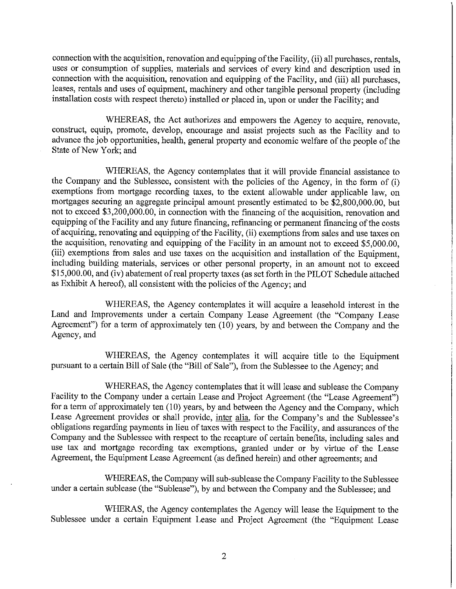connection with the acquisition, renovation and equipping of the Facility, (ii) all purchases, rentals, uses or consumption of supplies, materials and services of every kind and description used in connection with the acquisition, renovation and equipping of the Facility, and (iii) all purchases. leases, rentals and uses of equipment, machinery and other tangible personal property (including installation costs with respect thereto) installed or placed in, upon or under the Facility; and

WHEREAS, the Act authorizes and empowers the Agency to acquire, renovate, construct, equip, promote, develop, encourage and assist projects such as the Facility and to advance the job opportunities, health, general property and economic welfare of the people of the State of New York; and

WHEREAS, the Agency contemplates that it will provide financial assistance to the Company and the Sublessee, consistent with the policies of the Agency, in the form of (i) exemptions from mortgage recording taxes, to the extent allowable under applicable law, on mortgages securing an aggregate principal amount presently estimated to be \$2,800,000,00, but not to exceed \$3,200,000.00, in connection with the financing of the acquisition, renovation and equipping of the Facility and any future financing, refinancing or permanent financing of the costs of acquiring, renovating and equipping of the Facility, (ii) exemptions from sales and use taxes on the acquisition, renovating and equipping of the Facility in an amount not to exceed \$5,000.00, (iii) exemptions from sales and use taxes on the acquisition and installation of the Equipment, including building materials, services or other personal property, in an amount not to exceed \$15,000.00, and (iv) abatement of real property taxes (as set forth in the PILOT Schedule attached as Exhibit A hereof), all consistent with the policies of the Agency; and

WHEREAS, the Agency contemplates it will acquire a leasehold interest in the Land and Improvements under a certain Company Lease Agreement (the "Company Lease Agreement") for a term of approximately ten (10) years, by and between the Company and the Agency, and

WHEREAS, the Agency contemplates it will acquire title to the Equipment pursuant to a certain Bill of Sale (the "Bill of Sale"), from the Sublessee to the Agency; and

WHEREAS, the Agency contemplates that it will lease and sublease the Company Facility to the Company under a certain Lease and Project Agreement (the "Lease Agreement") for a term of approximately ten (10) years, by and between the Agency and the Company, which Lease Agreement provides or shall provide, inter alia, for the Company's and the Sublessee's obligations regarding payments in lieu of taxes with respect to the Facility, and assurances of the Company and the Sublessee with respect to the recapture of certain benefits, including sales and use tax and mortgage recording tax exemptions, granted under or by virtue of the Lease Agreement, the Equipment Lease Agreement (as defined herein) and other agreements; and

WHEREAS, the Company will sub-sublease the Company Facility to the Sublessee under a certain sublease (the "Sublease"), by and between the Company and the Sublessee; and

WHERAS, the Agency contemplates the Agency will lease the Equipment to the Sublessee under a certain Equipment Lease and Project Agreement (the "Equipment Lease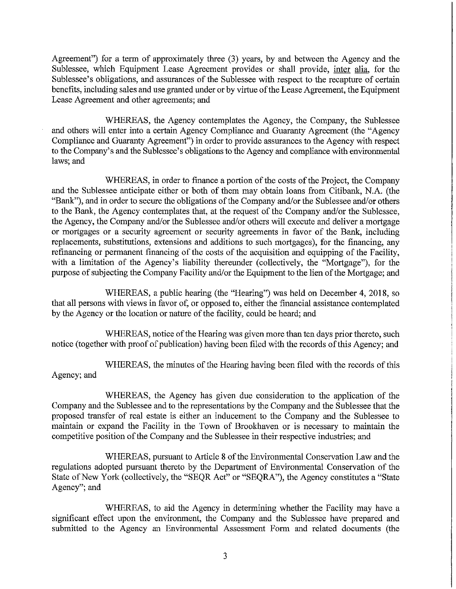Agreement") for a term of approximately three (3) years, by and between the Agency and the Sublessee, which Equipment Lease Agreement provides or shall provide, inter alia, for the Sublessee's obligations, and assurances of the Sublessee with respect to the recapture of certain benefits, including sales and use granted under or by virtue of the Lease Agreement, the Equipment Lease Agreement and other agreements; and

WHEREAS, the Agency contemplates the Agency, the Company, the Sublessee and others will enter into a certain Agency Compliance and Guaranty Agreement (the "Agency Compliance and Guaranty Agreement") in order to provide assurances to the Agency with respect to the Company's and the Sublessee's obligations to the Agency and compliance with environmental laws; and

WHEREAS, in order to finance a portion of the costs of the Project, the Company and the Sublessee anticipate either or both of them may obtain loans from Citibank, N.A. (the "Bank"), and in order to secure the obligations of the Company and/or the Sublessee and/or others to the Bank, the Agency contemplates that, at the request of the Company and/or the Sublessee, the Agency, the Company and/or the Sublessee and/or others will execute and deliver a mortgage or mortgages or a security agreement or security agreements in favor of the Bank, including replacements, substitutions, extensions and additions to such mortgages), for the financing, any refinancing or permanent financing of the costs of the acquisition and equipping of the Facility, with a limitation of the Agency's liability thereunder (collectively, the "Mortgage"), for the purpose of subjecting the Company Facility and/or the Equipment to the lien of the Mortgage; and

WHEREAS, a public hearing (the "Hearing") was held on December 4, 2018, so that all persons with views in favor of, or opposed to, either the financial assistance contemplated by the Agency or the location or nature of the facility, could be heard; and

WHEREAS, notice of the Hearing was given more than ten days prior thereto, such notice (together with proof of publication) having been filed with the records of this Agency; and

WHEREAS, the minutes of the Hearing having been filed with the records of this Agency; and

WHEREAS, the Agency has given due consideration to the application of the Company and the Sublessee and to the representations by the Company and the Sublessee that the proposed transfer of real estate is either an inducement to the Company and the Sublessee to maintain or expand the Facility in the Town of Brookhaven or is necessary to maintain the competitive position of the Company and the Sublessee in their respective industries; and

WHEREAS, pursuant to Article 8 of the Environmental Conservation Law and the regulations adopted pursuant thereto by the Department of Environmental Conservation of the State of New York (collectively, the "SEQR Act" or "SEQRA"), the Agency constitutes a "State Agency"; and

WHEREAS, to aid the Agency in determining whether the Facility may have a significant effect upon the environment, the Company and the Sublessee have prepared and submitted to the Agency an Environmental Assessment Form and related documents (the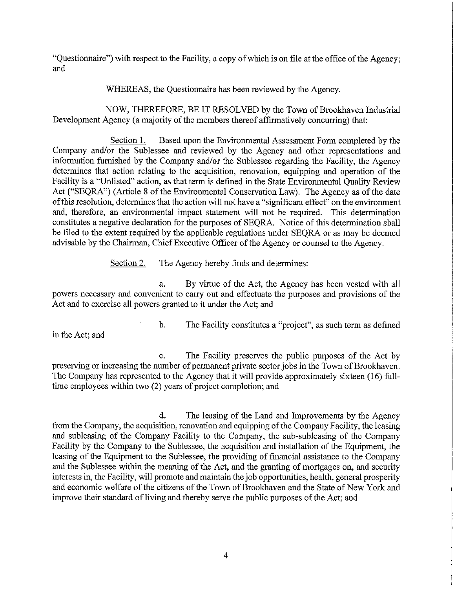"Questionnaire") with respect to the Facility, a copy of which is on file at the office of the Agency; and

WHEREAS, the Questionnaire has been reviewed by the Agency.

NOW, THEREFORE, BE IT RESOLVED by the Town of Brookhaven Industrial Development Agency (a majority of the members thereof affirmatively concurring) that:

Section 1. Based upon the Environmental Assessment Form completed by the Company and/or the Sublessee and reviewed by the Agency and other representations and information furnished by the Company and/or the Sublessee regarding the Facility, the Agency determines that action relating to the acquisition, renovation, equipping and operation of the Facility is a "Unlisted" action, as that term is defined in the State Environmental Quality Review Act ("SEQRA") (Article 8 of the Environmental Conservation Law). The Agency as of the date of this resolution, determines that the action will not have a "significant effect" on the environment and, therefore, an environmental impact statement will not be required. This determination constitutes a negative declaration for the purposes of SEQRA. Notice of this determination shall be filed to the extent required by the applicable regulations under SEQRA or as may be deemed advisable by the Chairman, Chief Executive Officer of the Agency or counsel to the Agency.

> The Agency hereby finds and determines: Section 2.

By virtue of the Act, the Agency has been vested with all a. powers necessary and convenient to carry out and effectuate the purposes and provisions of the Act and to exercise all powers granted to it under the Act: and

in the Act; and

The Facility constitutes a "project", as such term as defined  $\mathbf b$ .

The Facility preserves the public purposes of the Act by  $\mathbf{c}$ . preserving or increasing the number of permanent private sector jobs in the Town of Brookhaven. The Company has represented to the Agency that it will provide approximately sixteen (16) fulltime employees within two (2) years of project completion; and

 $\mathbf{d}$ . The leasing of the Land and Improvements by the Agency from the Company, the acquisition, renovation and equipping of the Company Facility, the leasing and subleasing of the Company Facility to the Company, the sub-subleasing of the Company Facility by the Company to the Sublessee, the acquisition and installation of the Equipment, the leasing of the Equipment to the Sublessee, the providing of financial assistance to the Company and the Sublessee within the meaning of the Act, and the granting of mortgages on, and security interests in, the Facility, will promote and maintain the job opportunities, health, general prosperity and economic welfare of the citizens of the Town of Brookhaven and the State of New York and improve their standard of living and thereby serve the public purposes of the Act; and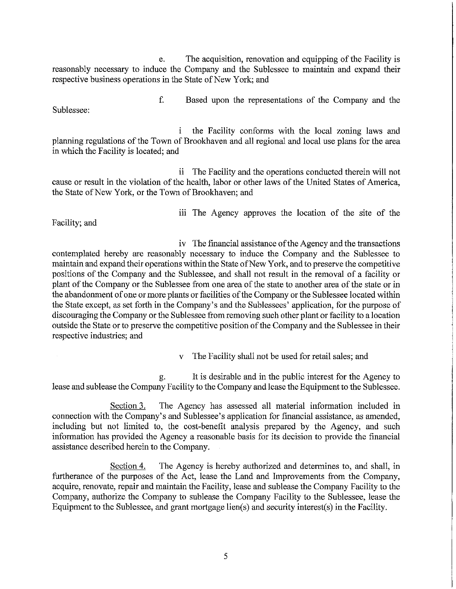The acquisition, renovation and equipping of the Facility is e. reasonably necessary to induce the Company and the Sublessee to maintain and expand their respective business operations in the State of New York; and

Sublessee:

f. Based upon the representations of the Company and the

the Facility conforms with the local zoning laws and i planning regulations of the Town of Brookhaven and all regional and local use plans for the area in which the Facility is located; and

ii The Facility and the operations conducted therein will not cause or result in the violation of the health, labor or other laws of the United States of America, the State of New York, or the Town of Brookhaven; and

Facility; and

iii The Agency approves the location of the site of the

iv The financial assistance of the Agency and the transactions contemplated hereby are reasonably necessary to induce the Company and the Sublessee to maintain and expand their operations within the State of New York, and to preserve the competitive positions of the Company and the Sublessee, and shall not result in the removal of a facility or plant of the Company or the Sublessee from one area of the state to another area of the state or in the abandonment of one or more plants or facilities of the Company or the Sublessee located within the State except, as set forth in the Company's and the Sublessees' application, for the purpose of discouraging the Company or the Sublessee from removing such other plant or facility to a location outside the State or to preserve the competitive position of the Company and the Sublessee in their respective industries; and

The Facility shall not be used for retail sales; and

It is desirable and in the public interest for the Agency to  $g_{\star}$ lease and sublease the Company Facility to the Company and lease the Equipment to the Sublessee.

The Agency has assessed all material information included in Section 3. connection with the Company's and Sublessee's application for financial assistance, as amended, including but not limited to, the cost-benefit analysis prepared by the Agency, and such information has provided the Agency a reasonable basis for its decision to provide the financial assistance described herein to the Company.

Section 4. The Agency is hereby authorized and determines to, and shall, in furtherance of the purposes of the Act, lease the Land and Improvements from the Company, acquire, renovate, repair and maintain the Facility, lease and sublease the Company Facility to the Company, authorize the Company to sublease the Company Facility to the Sublessee, lease the Equipment to the Sublessee, and grant mortgage  $\text{lien}(s)$  and security interest $(s)$  in the Facility.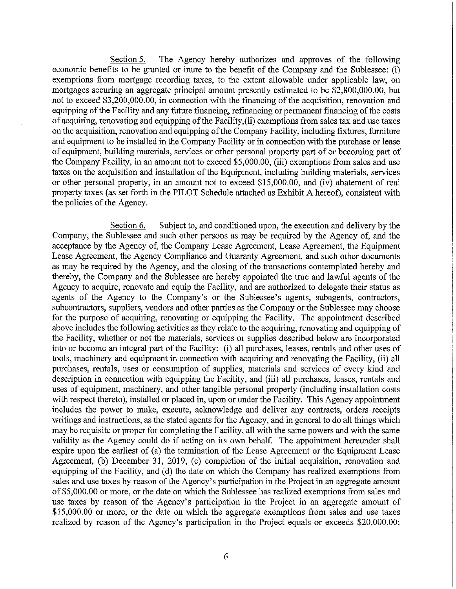Section 5. The Agency hereby authorizes and approves of the following economic benefits to be granted or inure to the benefit of the Company and the Sublessee: (i) exemptions from mortgage recording taxes, to the extent allowable under applicable law, on mortgages securing an aggregate principal amount presently estimated to be \$2,800,000.00, but not to exceed \$3,200,000.00, in connection with the financing of the acquisition, renovation and equipping of the Facility and any future financing, refinancing or permanent financing of the costs of acquiring, renovating and equipping of the Facility,(ii) exemptions from sales tax and use taxes on the acquisition, renovation and equipping of the Company Facility, including fixtures, furniture and equipment to be installed in the Company Facility or in connection with the purchase or lease of equipment, building materials, services or other personal property part of or becoming part of the Company Facility, in an amount not to exceed \$5,000.00, (iii) exemptions from sales and use taxes on the acquisition and installation of the Equipment, including building materials, services or other personal property, in an amount not to exceed \$15,000.00, and (iv) abatement of real property taxes (as set forth in the PILOT Schedule attached as Exhibit A hereof), consistent with the policies of the Agency.

Section 6. Subject to, and conditioned upon, the execution and delivery by the Company, the Sublessee and such other persons as may be required by the Agency of, and the acceptance by the Agency of, the Company Lease Agreement, Lease Agreement, the Equipment Lease Agreement, the Agency Compliance and Guaranty Agreement, and such other documents as may be required by the Agency, and the closing of the transactions contemplated hereby and thereby, the Company and the Sublessee are hereby appointed the true and lawful agents of the Agency to acquire, renovate and equip the Facility, and are authorized to delegate their status as agents of the Agency to the Company's or the Sublessee's agents, subagents, contractors, subcontractors, suppliers, vendors and other parties as the Company or the Sublessee may choose for the purpose of acquiring, renovating or equipping the Facility. The appointment described above includes the following activities as they relate to the acquiring, renovating and equipping of the Facility, whether or not the materials, services or supplies described below are incorporated into or become an integral part of the Facility: (i) all purchases, leases, rentals and other uses of tools, machinery and equipment in connection with acquiring and renovating the Facility, (ii) all purchases, rentals, uses or consumption of supplies, materials and services of every kind and description in connection with equipping the Facility, and (iii) all purchases, leases, rentals and uses of equipment, machinery, and other tangible personal property (including installation costs with respect thereto), installed or placed in, upon or under the Facility. This Agency appointment includes the power to make, execute, acknowledge and deliver any contracts, orders receipts writings and instructions, as the stated agents for the Agency, and in general to do all things which may be requisite or proper for completing the Facility, all with the same powers and with the same validity as the Agency could do if acting on its own behalf. The appointment hereunder shall expire upon the earliest of (a) the termination of the Lease Agreement or the Equipment Lease Agreement, (b) December 31, 2019, (c) completion of the initial acquisition, renovation and equipping of the Facility, and (d) the date on which the Company has realized exemptions from sales and use taxes by reason of the Agency's participation in the Project in an aggregate amount of \$5,000.00 or more, or the date on which the Sublessee has realized exemptions from sales and use taxes by reason of the Agency's participation in the Project in an aggregate amount of \$15,000.00 or more, or the date on which the aggregate exemptions from sales and use taxes realized by reason of the Agency's participation in the Project equals or exceeds \$20,000.00;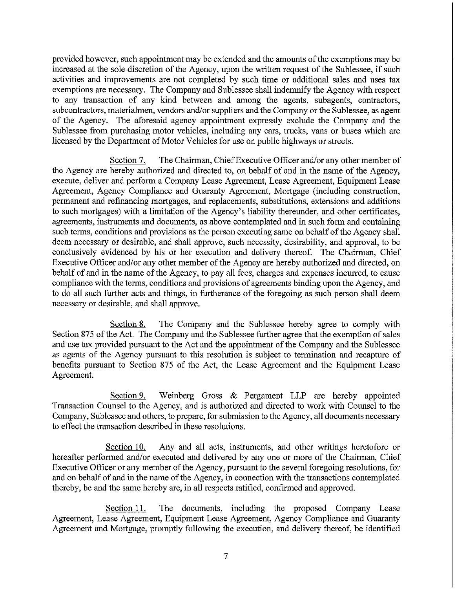provided however, such appointment may be extended and the amounts of the exemptions may be increased at the sole discretion of the Agency, upon the written request of the Sublessee, if such activities and improvements are not completed by such time or additional sales and uses tax exemptions are necessary. The Company and Sublessee shall indemnify the Agency with respect to any transaction of any kind between and among the agents, subagents, contractors, subcontractors, materialmen, vendors and/or suppliers and the Company or the Sublessee, as agent of the Agency. The aforesaid agency appointment expressly exclude the Company and the Sublessee from purchasing motor vehicles, including any cars, trucks, vans or buses which are licensed by the Department of Motor Vehicles for use on public highways or streets.

Section 7. The Chairman, Chief Executive Officer and/or any other member of the Agency are hereby authorized and directed to, on behalf of and in the name of the Agency, execute, deliver and perform a Company Lease Agreement, Lease Agreement, Equipment Lease Agreement, Agency Compliance and Guaranty Agreement, Mortgage (including construction, permanent and refinancing mortgages, and replacements, substitutions, extensions and additions to such mortgages) with a limitation of the Agency's liability thereunder, and other certificates, agreements, instruments and documents, as above contemplated and in such form and containing such terms, conditions and provisions as the person executing same on behalf of the Agency shall deem necessary or desirable, and shall approve, such necessity, desirability, and approval, to be conclusively evidenced by his or her execution and delivery thereof. The Chairman, Chief Executive Officer and/or any other member of the Agency are hereby authorized and directed, on behalf of and in the name of the Agency, to pay all fees, charges and expenses incurred, to cause compliance with the terms, conditions and provisions of agreements binding upon the Agency, and to do all such further acts and things, in furtherance of the foregoing as such person shall deem necessary or desirable, and shall approve.

Section 8. The Company and the Sublessee hereby agree to comply with Section 875 of the Act. The Company and the Sublessee further agree that the exemption of sales and use tax provided pursuant to the Act and the appointment of the Company and the Sublessee as agents of the Agency pursuant to this resolution is subject to termination and recapture of benefits pursuant to Section 875 of the Act, the Lease Agreement and the Equipment Lease Agreement.

Weinberg Gross & Pergament LLP are hereby appointed Section 9. Transaction Counsel to the Agency, and is authorized and directed to work with Counsel to the Company, Sublessee and others, to prepare, for submission to the Agency, all documents necessary to effect the transaction described in these resolutions.

Section 10. Any and all acts, instruments, and other writings heretofore or hereafter performed and/or executed and delivered by any one or more of the Chairman, Chief Executive Officer or any member of the Agency, pursuant to the several foregoing resolutions, for and on behalf of and in the name of the Agency, in connection with the transactions contemplated thereby, be and the same hereby are, in all respects ratified, confirmed and approved.

Section 11. The documents, including the proposed Company Lease Agreement, Lease Agreement, Equipment Lease Agreement, Agency Compliance and Guaranty Agreement and Mortgage, promptly following the execution, and delivery thereof, be identified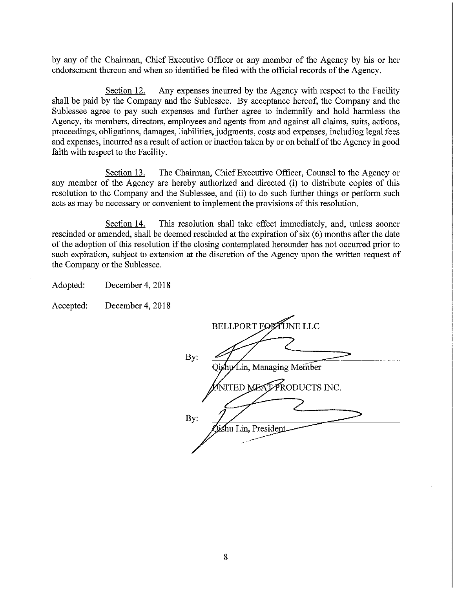by any of the Chairman, Chief Executive Officer or any member of the Agency by his or her endorsement thereon and when so identified be filed with the official records of the Agency.

Section 12. Any expenses incurred by the Agency with respect to the Facility shall be paid by the Company and the Sublessee. By acceptance hereof, the Company and the Sublessee agree to pay such expenses and further agree to indemnify and hold harmless the Agency, its members, directors, employees and agents from and against all claims, suits, actions, proceedings, obligations, damages, liabilities, judgments, costs and expenses, including legal fees and expenses, incurred as a result of action or inaction taken by or on behalf of the Agency in good faith with respect to the Facility.

Section 13. The Chairman, Chief Executive Officer, Counsel to the Agency or any member of the Agency are hereby authorized and directed (i) to distribute copies of this resolution to the Company and the Sublessee, and (ii) to do such further things or perform such acts as may be necessary or convenient to implement the provisions of this resolution.

Section 14. This resolution shall take effect immediately, and, unless sooner rescinded or amended, shall be deemed rescinded at the expiration of six (6) months after the date of the adoption of this resolution if the closing contemplated hereunder has not occurred prior to such expiration, subject to extension at the discretion of the Agency upon the written request of the Company or the Sublessee.

Adopted: December 4, 2018

Accepted: December 4, 2018

|     | BELLPORT FORTUNE LLC        |
|-----|-----------------------------|
| By: | Qishu/Lin, Managing Member  |
|     | NITED MEATPRODUCTS INC.     |
| By: |                             |
|     | ishu Lin, Preside <u>nt</u> |